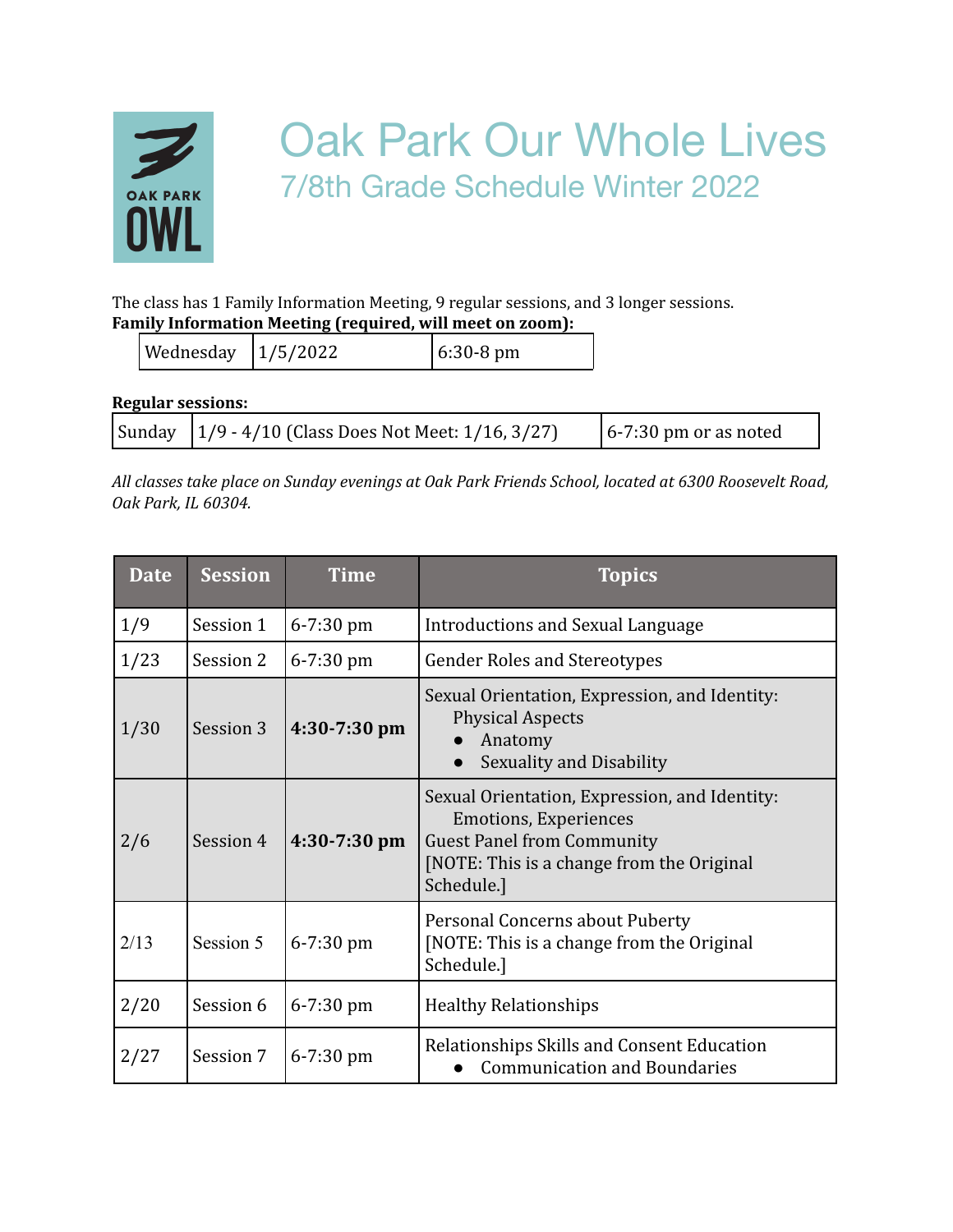

## Oak Park Our Whole Lives 7/8th Grade Schedule Winter 2022

The class has 1 Family Information Meeting, 9 regular sessions, and 3 longer sessions. **Family Information Meeting (required, will meet on zoom):**

| Wednesday $ 1/5/2022$ |  | $6:30-8 \text{ pm}$ |
|-----------------------|--|---------------------|
|-----------------------|--|---------------------|

**Regular sessions:**

|  | Sunday $\left  \frac{1}{9} - \frac{4}{10} \right $ (Class Does Not Meet: 1/16, 3/27) | $\left[6 - 7:30\right]$ pm or as noted |
|--|--------------------------------------------------------------------------------------|----------------------------------------|
|--|--------------------------------------------------------------------------------------|----------------------------------------|

*All classes take place on Sunday evenings at Oak Park Friends School, located at 6300 Roosevelt Road, Oak Park, IL 60304.*

| <b>Date</b> | <b>Session</b> | Time           | <b>Topics</b>                                                                                                                                                                 |
|-------------|----------------|----------------|-------------------------------------------------------------------------------------------------------------------------------------------------------------------------------|
| 1/9         | Session 1      | $6 - 7:30$ pm  | <b>Introductions and Sexual Language</b>                                                                                                                                      |
| 1/23        | Session 2      | $6 - 7:30$ pm  | <b>Gender Roles and Stereotypes</b>                                                                                                                                           |
| 1/30        | Session 3      | $4:30-7:30$ pm | Sexual Orientation, Expression, and Identity:<br><b>Physical Aspects</b><br>Anatomy<br>Sexuality and Disability                                                               |
| 2/6         | Session 4      | $4:30-7:30$ pm | Sexual Orientation, Expression, and Identity:<br><b>Emotions, Experiences</b><br><b>Guest Panel from Community</b><br>[NOTE: This is a change from the Original<br>Schedule.] |
| 2/13        | Session 5      | $6 - 7:30$ pm  | Personal Concerns about Puberty<br>[NOTE: This is a change from the Original]<br>Schedule.]                                                                                   |
| 2/20        | Session 6      | $6 - 7:30$ pm  | <b>Healthy Relationships</b>                                                                                                                                                  |
| 2/27        | Session 7      | $6 - 7:30$ pm  | Relationships Skills and Consent Education<br><b>Communication and Boundaries</b>                                                                                             |